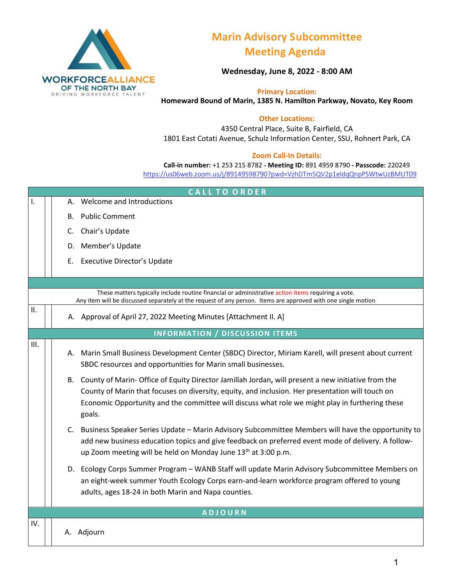

# **Marin Advisory Subcommittee Meeting Agenda**

**Wednesday, June 8, 2022 - 8:00 AM**

**Primary Location: Homeward Bound of Marin, 1385 N. Hamilton Parkway, Novato, Key Room** 

### **Other Locations:**

4350 Central Place, Suite B, Fairfield, CA 1801 East Cotati Avenue, Schulz Information Center, SSU, Rohnert Park, CA

#### **Zoom Call-In Details:**

**Call-in number:** +1 253 215 8782 **- Meeting ID:** 891 4959 8790 **- Passcode:** 220249 <https://us06web.zoom.us/j/89149598790?pwd=VzhDTm5QV2p1eldqQnpPSWtwUzBMUT09>

| <b>CALL TO ORDER</b> |    |                                                                                                                                                                                                                                                                                                                        |  |  |
|----------------------|----|------------------------------------------------------------------------------------------------------------------------------------------------------------------------------------------------------------------------------------------------------------------------------------------------------------------------|--|--|
| Ι.                   |    | A. Welcome and Introductions                                                                                                                                                                                                                                                                                           |  |  |
|                      | В. | <b>Public Comment</b>                                                                                                                                                                                                                                                                                                  |  |  |
|                      | C. | Chair's Update                                                                                                                                                                                                                                                                                                         |  |  |
|                      |    | D. Member's Update                                                                                                                                                                                                                                                                                                     |  |  |
|                      | Е. | <b>Executive Director's Update</b>                                                                                                                                                                                                                                                                                     |  |  |
|                      |    |                                                                                                                                                                                                                                                                                                                        |  |  |
|                      |    |                                                                                                                                                                                                                                                                                                                        |  |  |
|                      |    | These matters typically include routine financial or administrative action items requiring a vote.<br>Any item will be discussed separately at the request of any person. Items are approved with one single motion                                                                                                    |  |  |
| II.                  |    | A. Approval of April 27, 2022 Meeting Minutes [Attachment II. A]                                                                                                                                                                                                                                                       |  |  |
|                      |    | <b>INFORMATION / DISCUSSION ITEMS</b>                                                                                                                                                                                                                                                                                  |  |  |
| III.                 |    | A. Marin Small Business Development Center (SBDC) Director, Miriam Karell, will present about current<br>SBDC resources and opportunities for Marin small businesses.                                                                                                                                                  |  |  |
|                      |    | B. County of Marin- Office of Equity Director Jamillah Jordan, will present a new initiative from the<br>County of Marin that focuses on diversity, equity, and inclusion. Her presentation will touch on<br>Economic Opportunity and the committee will discuss what role we might play in furthering these<br>goals. |  |  |
|                      |    | C. Business Speaker Series Update - Marin Advisory Subcommittee Members will have the opportunity to<br>add new business education topics and give feedback on preferred event mode of delivery. A follow-<br>up Zoom meeting will be held on Monday June 13 <sup>th</sup> at 3:00 p.m.                                |  |  |
|                      |    | D. Ecology Corps Summer Program - WANB Staff will update Marin Advisory Subcommittee Members on<br>an eight-week summer Youth Ecology Corps earn-and-learn workforce program offered to young<br>adults, ages 18-24 in both Marin and Napa counties.                                                                   |  |  |
| <b>ADJOURN</b>       |    |                                                                                                                                                                                                                                                                                                                        |  |  |
| IV.                  |    | A. Adjourn                                                                                                                                                                                                                                                                                                             |  |  |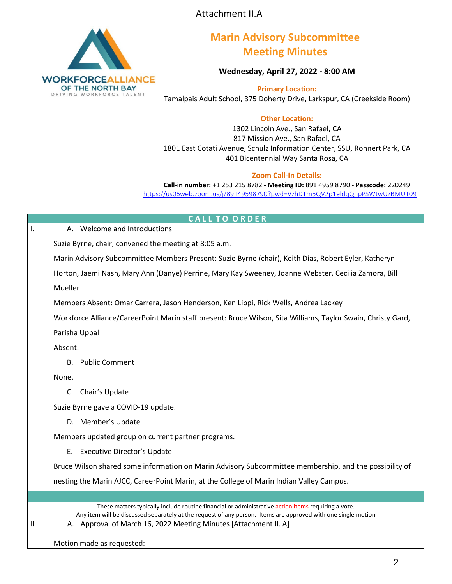

## **Marin Advisory Subcommittee Meeting Minutes**

**Wednesday, April 27, 2022 - 8:00 AM**

**Primary Location:**  Tamalpais Adult School, 375 Doherty Drive, Larkspur, CA (Creekside Room)

## **Other Location:**

1302 Lincoln Ave., San Rafael, CA 817 Mission Ave., San Rafael, CA 1801 East Cotati Avenue, Schulz Information Center, SSU, Rohnert Park, CA 401 Bicentennial Way Santa Rosa, CA

#### **Zoom Call-In Details:**

**Call-in number:** +1 253 215 8782 **- Meeting ID:** 891 4959 8790 **- Passcode:** 220249 <https://us06web.zoom.us/j/89149598790?pwd=VzhDTm5QV2p1eldqQnpPSWtwUzBMUT09>

|                   | <b>CALL TO ORDER</b>                                                                                                                                                                                                |  |  |  |  |
|-------------------|---------------------------------------------------------------------------------------------------------------------------------------------------------------------------------------------------------------------|--|--|--|--|
| Ι.                | A. Welcome and Introductions                                                                                                                                                                                        |  |  |  |  |
|                   | Suzie Byrne, chair, convened the meeting at 8:05 a.m.                                                                                                                                                               |  |  |  |  |
|                   | Marin Advisory Subcommittee Members Present: Suzie Byrne (chair), Keith Dias, Robert Eyler, Katheryn                                                                                                                |  |  |  |  |
|                   | Horton, Jaemi Nash, Mary Ann (Danye) Perrine, Mary Kay Sweeney, Joanne Webster, Cecilia Zamora, Bill                                                                                                                |  |  |  |  |
|                   | Mueller                                                                                                                                                                                                             |  |  |  |  |
|                   | Members Absent: Omar Carrera, Jason Henderson, Ken Lippi, Rick Wells, Andrea Lackey                                                                                                                                 |  |  |  |  |
|                   | Workforce Alliance/CareerPoint Marin staff present: Bruce Wilson, Sita Williams, Taylor Swain, Christy Gard,                                                                                                        |  |  |  |  |
|                   | Parisha Uppal                                                                                                                                                                                                       |  |  |  |  |
|                   | Absent:                                                                                                                                                                                                             |  |  |  |  |
|                   | <b>B.</b> Public Comment                                                                                                                                                                                            |  |  |  |  |
|                   | None.                                                                                                                                                                                                               |  |  |  |  |
| C. Chair's Update |                                                                                                                                                                                                                     |  |  |  |  |
|                   | Suzie Byrne gave a COVID-19 update.                                                                                                                                                                                 |  |  |  |  |
|                   | D. Member's Update                                                                                                                                                                                                  |  |  |  |  |
|                   | Members updated group on current partner programs.                                                                                                                                                                  |  |  |  |  |
|                   | E. Executive Director's Update                                                                                                                                                                                      |  |  |  |  |
|                   | Bruce Wilson shared some information on Marin Advisory Subcommittee membership, and the possibility of                                                                                                              |  |  |  |  |
|                   | nesting the Marin AJCC, CareerPoint Marin, at the College of Marin Indian Valley Campus.                                                                                                                            |  |  |  |  |
|                   |                                                                                                                                                                                                                     |  |  |  |  |
|                   | These matters typically include routine financial or administrative action items requiring a vote.<br>Any item will be discussed separately at the request of any person. Items are approved with one single motion |  |  |  |  |
| II.               | A. Approval of March 16, 2022 Meeting Minutes [Attachment II. A]                                                                                                                                                    |  |  |  |  |
|                   | Motion made as requested:                                                                                                                                                                                           |  |  |  |  |